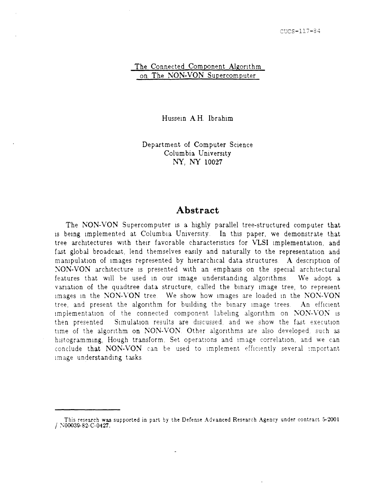#### The Connected Component Algorithm on The NON-VON Supercomputer

Hussein A.H. Ibrahim

Department of Computer Science Columbia University NY, NY 10027

### **Abstract**

The NON-VON Supercomputer is a highly parallel tree-structured computer that is being implemented at Columbia University. In this paper, we demonstrate that tree architectures with their favorable characteristics for VLSI implementation, and fast global broadcast, lend themselves easily and naturally to the representation and manipulation of images represented by hierarchical data structures. A description of NON-VON architecture is presented with an emphasis on the special architectural features that will be used in our image understanding algorithms. We adopt a variation of the quadtree data structure, called the binary image tree, to represent images in the NON-VON tree. We show how images are loaded in the NON-VON tree, and present the algorithm for building the binary image trees. An efficient implementation of the connected component labeling algorithm on NON-VON is then presented. Simulation results are discussed, and we show the fast execution time of the algorithm on NON-VON. Other algorithms are also developed, such as histogramming, Hough transform, Set operations and image correlation, and we can conclude that NON-VON can be used to implement efficiently several important Image understanding tasks

This research was supported in part by the Derense Advanced Research Agency under contract 5-2001 / N00039-82-C-0427.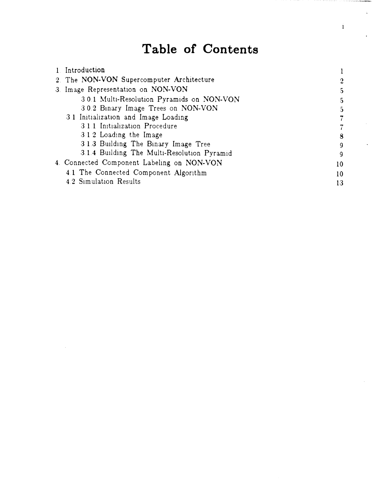# **Table of Contents**

 $\mathbf{i}$ 

| 1. Introduction                             |                |
|---------------------------------------------|----------------|
| 2. The NON-VON Supercomputer Architecture   | $\overline{2}$ |
| 3. Image Representation on NON-VON          |                |
| 3.0.1 Multi-Resolution Pyramids on NON-VON  | 5.             |
| 3.0.2 Binary Image Trees on NON-VON         | 5              |
| 3.1 Initialization and Image Loading        |                |
| 3.1.1 Initialization Procedure              |                |
| 3.1.2 Loading the Image                     | 8              |
| 31.3 Building The Binary Image Tree         | <b>q</b>       |
| 3.1.4 Building The Multi-Resolution Pyramid | g              |
| 4. Connected Component Labeling on NON-VON  | 10             |
| 4.1 The Connected Component Algorithm       | 10             |
| 4.2 Simulation Results                      | 13             |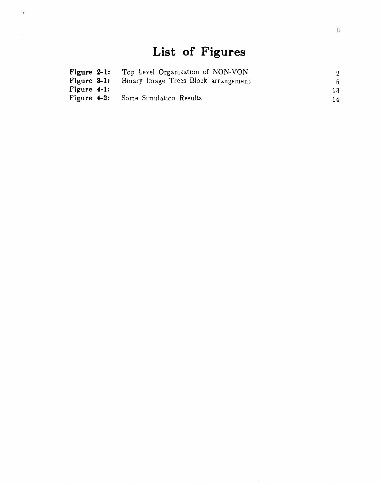# **List of Figures**

 $\mathcal{A}$ 

 $\overline{\phantom{a}}$ 

| Figure $2-1$ : | Top Level Organization of NON-VON          | $\overline{2}$ |
|----------------|--------------------------------------------|----------------|
| Figure $3-1$ : | Binary Image Trees Block arrangement       | 6.             |
| Figure $4-1$ : |                                            | 13.            |
|                | <b>Figure 4-2:</b> Some Simulation Results | 14.            |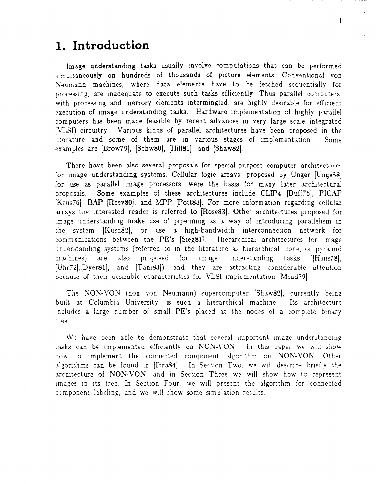# **1. Introduction**

Image understanding tasks usually involve computations that can be performed simultaneously on hundreds of thousands of picture elements. Conventional von Neumann machines, where data elements have to be fetched sequentially for processIng, are inadequate to execute such tasks efficiently Thus parallel computers, with processing and memory elements intermingled, are highly desirable for efficient execution of image understanding tasks. Hardware implementation of highly parallel computers has been made feasible by recent advances in very large scale integrated (VLSI) circuitry. Various kinds of parallel architectures have been proposed in the literature and some of them are in various stages of implementation. Some examples are [Brow79], [Schw80], [Hill81], and [Shaw82].

There have been also several proposals for special-purpose computer architectures for image understanding systems. Cellular logic arrays, proposed by Unger [Unge58] for use as parallel image processors, were the basis for many later architectural proposals. Some examples of these architectures include CLIP4 [Duff76]. PICAP [Krus76], SAP [Reev80J, and MPP [pott83]. For more information regarding cellular arrays the interested reader is referred to [Rose83]. Other architectures proposed for image understanding make use of pipelining as a way of introducing parallelism in the system [Kush82], or use a high-bandwidth interconnection network for communications between the PE's [Sieg81]. Hierarchical architectures for image understanding systems (referred to in the literature as hierarchical, cone, or pyramid machines) are also proposed for image understanding tasks (Hans78), [Uhr72], [Dyer81], and [Tani83]), and they are attracting considerable attention because of their desirable characteristics for VLSI implementation [Mead79].

The NON-VON (non von Neumann) supercomputer [Shaw82], currently being built at Columbia University, is such a hierarchical machine. Its architecture includes a large number of small PE's placed at the nodes of a complete binary tree

We have been able to demonstrate that several important image understanding tasks can be implemented efficiently on NON-VON. In this paper we will show how to implement the connected component algorithm on NON-VON. Other algorithms can be found in [Ibra84]. In Section Two, we will describe briefly the architecture of NON-VON, and in Section Three we will show how to represent images in its tree. In Section Four, we will present the algorithm for connected component labeling, and we will show some simulation results.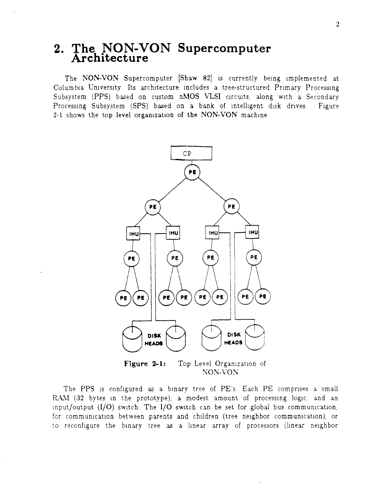# **2. The NON-VON Supercomputer Architecture**

The NON-VON Supercomputer [Shaw 82] is currently being implemented at Columbia University Its architecture includes a tree-structured Primary Processing Subsystem (PPS) based on custom nMOS VLSI circuits, along with a Secondary Processing Subsystem (SPS) based on a bank of intelligent disk drives. Figure 2-1 shows the top level organization of the NON-VON machine.



**Figure 2-1:**  Top Level Organization of NON-VON

The PPS is configured as a binary tree of PE's. Each PE comprises a small RAM (32 bytes in the prototype), a modest amount of processing logic, and an Input/output  $(I/O)$  switch. The  $I/O$  switch can be set for global bus communication, for communication between parents and children (tree neighbor communication), or to reconfigure the binary tree as a linear array of processors (linear neighbor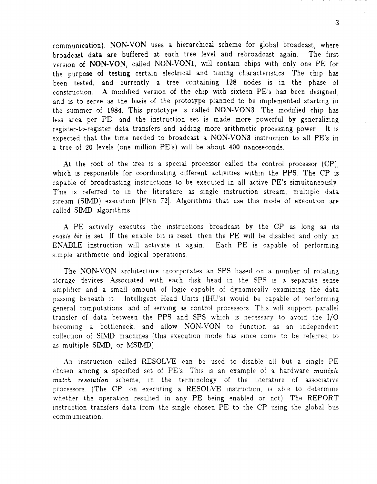communication). NON-VON uses a hierarchical scheme for global broadcast, where broadcast data are buffered at each tree level and rebroadcast again. The first version of NON-VON, called NON-VON1, will contain chips with only one PE for the purpose of testing certain electrical and timing characteristics. The chip has been tested, and currently a tree containing 128 nodes IS in the phase of construction. A modified version of the chip with sixteen PE's has been designed. and is to serve as the basis of the prototype planned to be implemented starting in the summer of 1984. This prototype is called NON-VON3. The modified chip has less area per PE, and the instruction set is made more powerful by generalizing register-to-register data transfers and adding more arithmetic processing power. It is expected that the time needed to broadcast a NON-VON3 instruction to all PE's in a tree of 20 levels (one mIllion PE's) wIll be about 400 nanoseconds.

At the root of the tree is a special processor called the control processor  $(CP)$ , which is responsible for coordinating different activities within the PPS. The CP is capable of broadcasting instructions to be executed in all active PE's simultaneously. This is referred to in the literature as single instruction stream, multiple data stream (SIMD) execution [Flyn 72]. Algorithms that use this mode of execution are called SIMD algorithms.

A PE actively executes the instructions broadcast by the CP as long as its *enable bit* is set. If the enable bit is reset, then the PE will be disabled and only an ENABLE instruction will activate it again. Each PE is capable of performing simple arithmetic and logical operations.

The NON-VON architecture incorporates an SPS based on a number of rotating storage deVIces. AsSOCIated WIth each dIsk head In the SPS IS a separate sense amplifier and a small amount of logic capable of dynamically examining the data passing beneath it Intelligent Head Units (IHU's) would be capable of performing general computations, and of serving as control processors. This will support parallel transfer of data between the PPS and SPS which is necessary to avoid the I/O becoming a bottleneck, and allow NON-VON to function as an independent collection of SIMD machines (this execution mode has since come to be referred to as multiple SIMD, or MSIMD).

An instruction called RESOLVE can be used to disable all but a single PE chosen among a specified set of PE's. This is an example of a hardware *multiple match resolution* scheme, in the terminology of the literature of associative processors (The CP, on executing a RESOLVE instruction, is able to determine whether the operation resulted in any PE being enabled or not). The REPORT instruction transfers data from the single chosen PE to the CP using the global bus commUnICatIOn.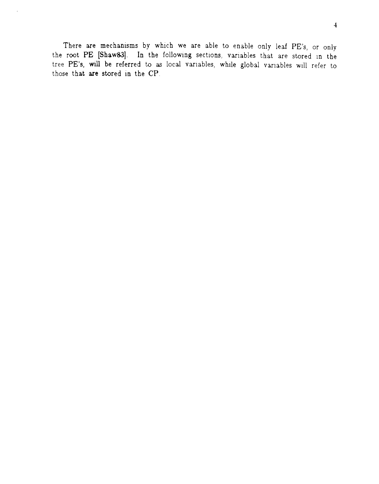There are mechanisms by which we are able to enable only leaf PE's, or only the root PE [Shaw83]. In the following sections, variables that are stored in the tree PE's, **will** be referred to as local vanables, while global vanables Will refer to those that are stored in the CP.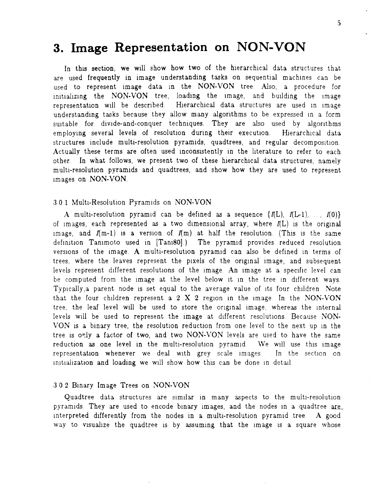# **3. Image Representation on NON-VON**

In this section, we will show how two of the hierarchical data structures that are used frequently in image understanding tasks on sequential machines can be used to represent image data in the NON-VON tree. Also, a procedure for initializing the NON-VON tree, loading the image, and building the image representation will be described. Hierarchical data structures are used in image understanding tasks because they allow many algorithms to be expressed in a form suitable for divide-and-conquer techniques. They are also used by algorithms employing several levels of resolution during their execution. Hierarchical data structures include multi-resolution pyramids, quadtrees, and regular decomposition Actually these terms are often used inconsistently in the literature to refer to each other. In what follows, we present two of these hierarchical data structures, namely multi-resolution pyramids and quadtrees, and show how they are used to represent Images on NON-VON.

#### 3.0 1 Multi-Resolution Pyramids on NON-VON

A multi-resolution pyramid can be defined as a sequence  $\{I(L), I(L-1), I(0)\}$ of images, each represented as a two dimensional array, where  $I(L)$  is the original image, and  $I(m-1)$  is a version of  $I(m)$  at half the resolution. (This is the same definition Tanimoto used in [Tani80].) The pyramid provides reduced resolution versions of the image. A multi-resolution pyramid can also be defined in terms of trees, where the leaves represent the pixels of the original image, and subsequent levels represent different resolutions of the image. An image at a specific level can be computed from the image at the level below it in the tree in different ways. Typically, a parent node is set equal to the average value of its four children. Note that the four children represent a 2 X 2 region in the image. In the NON-VON tree, the leaf level will be used to store the original image, whereas the internal levels will be used to represent the image at different resolutions. Because NON-VON is a binary tree, the resolution reduction from one level to the next up in the tree is only a factor of two, and two NON-VON levels are used to have the same reduction as one level in the multi-resolution pyramid. We will use this image representation whenever we deal with grey scale images. In the section on initialization and loading we will show how this can be done in detail.

#### 302 Binary Image Trees on NON-VON

Quadtree data structures are similar in many aspects to the multi-resolution pyramids. They are used to encode binary images, and the nodes in a quadtree are interpreted differently from the nodes in a multi-resolution pyramid tree. A good way to visualize the quadtree is by assuming that the image is a square whose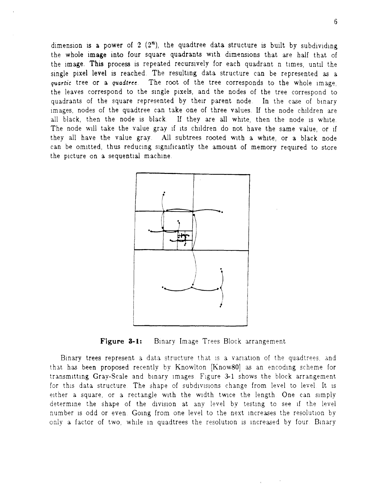dimension is a power of 2  $(2^n)$ , the quadtree data structure is built by subdividing the whole image into four square quadrants with dimensions that are half that of the image. This process is repeated recursively for each quadrant n times, until the single pixel level is reached. The resulting data structure can be represented as a *quartic* tree or a *quadtree*. The root of the tree corresponds to the whole image, the leaves correspond to the single pixels, and the nodes of the tree correspond to quadrants of the square represented by their parent node. In the case of binary images, nodes of the quadtree can take one of three values. If the node children are all black, then the node is black. If they are all white, then the node is white. The node will take the value gray if its children do not have the same value, or if they all have the value gray. All subtrees rooted with a white, or a black node can be omitted, thus reducing significantly the amount of memory required to store the picture on a sequential machine.



Figure 3-1: Binary Image Trees Block arrangement

Binary trees represent a data structure that is a variation of the quadtrees, and that has been proposed recently by Knowlton [Know80] as an encoding scheme for transmitting Gray-Scale and binary images. Figure 3-1 shows the block arrangement for this data structure. The shape of subdivisions change from level to level. It is either a square, or a rectangle with the width twice the length. One can simply determine the shape of the division at any level by testing to see if the level number is odd or even. Going from one level to the next increases the resolution by only a factor of two, while in quadtrees the resolution is increased by four. Binary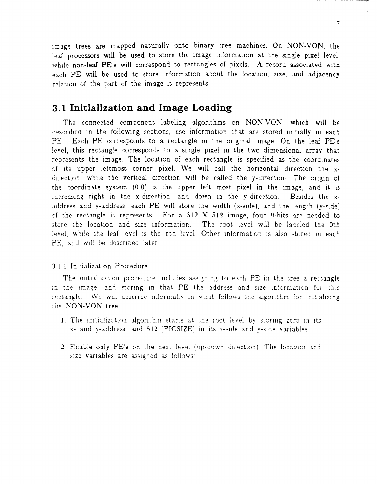image trees are mapped naturally onto binary tree machines. On NON-VON, the leaf processors will be used to store the image information at the single pixel level, while non-leaf PE's will correspond to rectangles of pixels. A record associated-with each PE will be used to store information about the location, size, and adjacency relation of the part of the image it represents.

## **3.1 Initialization and Image Loading**

The connected component labeling algorithms on NON-VON, which will be described in the following sections, use information that are stored initially in each PE. Each PE corresponds to a rectangle in the original image. On the leaf PE's level, this rectangle corresponds to a single pixel in the two dimensional array that represents the image. The location of each rectangle is specified as the coordinates of its upper leftmost corner pixel. We will call the horizontal direction the  $x$ direction, while the vertical direction will be called the y-direction. The origin of the coordinate system  $(0,0)$  is the upper left most pixel in the image, and it is increasing right in the x-direction, and down in the y-direction. Besides the  $x$ address and y-address, each PE wIll store the Width (x-side), and the length (y-side) of the rectangle it represents. For a  $512 \text{ X } 512$  image, four 9-bits are needed to store the location and size information. The root level will be labeled the 0th level, while the leaf level is the nth level. Other information is also stored in each PE, and will be described later.

#### 3.1.1 Initialization Procedure

The initialization procedure includes assigning to each PE in the tree a rectangle in the image, and storing in that PE the address and size information for this rectangle. We will describe informally in what follows the algorithm for initializing the NON-YON tree

- 1. The initialization algorithm starts at the root level by storing zero in its x- and y-address, and 512 (PICSIZE) in its x-side and y-side variables.
- 2. Enable only PE's on the next level (up-down direction). The location and size variables are assigned as follows: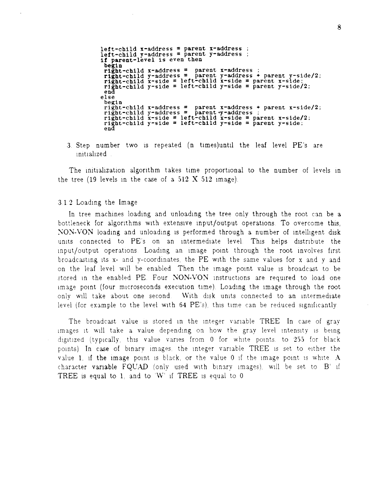left-child x-address = parent x-address left-child x-address = parent x-address<br>left-child y-address = parent y-address<br>if parent-level is even then begin begin<br>right-child x-address = parent x-address ;<br>right-child x-side = left-child x-side = parent x-side;<br>right-child x-side = left-child x-side = parent x-side; right-child x-side = left-child x-side = parent x-side;<br>right-child y-side = left-child y-side = parent y-side/2;<br>end end<br>else begin right-child x-address = parent x-address + parent x-side/2; right-child x-address = parent x-address + parent x-side,<br>right-child y-address = parent y-address;<br>right-child x-side = left-child x-side = parent x-side/2; right-child  $y$ -side = left-child  $y$ -side = parent  $y$ -side;<br>end

3. Step number two is repeated (n times)until the leaf level PE's are initialized.

The initialization algorithm takes time proportional to the number of levels in the tree (19 levels in the case of a 512 X 512 image).

#### 3.1.2 Loading the Image

In tree machines loading and unloading the tree only through the root can be a bottleneck for algorithms with extensive input/output operations. To overcome this, NON-VON loading and unloading is performed through a number of intelligent disk units connected to PE's on an intermediate level. This helps distribute the input/output operations. Loading an image point through the root involves first broadcastmg ItS x- and y-coordlnates, the PE With the same values for x and y and on the leaf level wlll be enabled Then the Image pOint value IS broadcast to be stored in the enabled PE. Four NON-VON instructions are required to load one image point (four microseconds execution time). Loading the image through the root only will take about one second. With disk units connected to an intermediate level (for example to the level with  $64$  PE's), this time can be reduced significantly.

The broadcast value is stored in the integer variable TREE In case of gray Images It wlll take a value depending on how the gray level mtenslty IS bemg digitized (typically, this value varies from  $0$  for white points, to 255 for black pOints) In case of bmary Images. the mteger vanable TREE IS set to either the value 1, if the image point is black, or the value 0 if the image point is white  $A$ character variable  $FQUAD$  (only used with binary images), will be set to  $B'$  if TREE is equal to 1, and to  $W'$  if TREE is equal to 0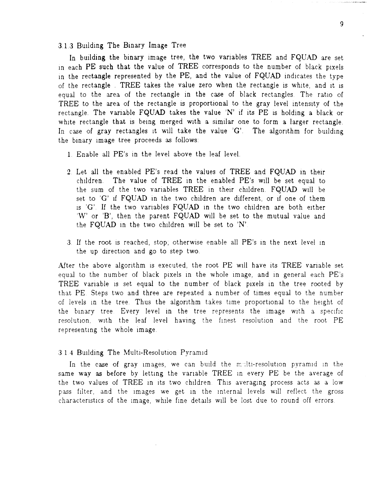3.1.3 Budding The Binary Image Tree

In building the binary image tree, the two variables TREE and FQUAD are set in each PE such that the value of TREE corresponds to the number of black pixels in the rectangle represented by the PE, and the value of FQUAD indicates the type of the rectangle TREE takes the value zero when the rectangle is white, and it is equal to the area of the rectangle in the case of black rectangles The ratio of TREE to the area of the rectangle is proportional to the gray level intensity of the rectangle. The variable FQUAD takes the value 'N' if its PE is holding a black or white rectangle that is being merged with a similar one to form a larger rectangle. In case of gray rectangles it will take the value  $'G'$ . The algorithm for building the binary image tree proceeds as follows:

- 1 Enable all PE's In the level above the leaf level.
- 2. Let all the enabled PE's read the values of TREE and FQUAD In their children. The value of TREE in the enabled PE's will be set equal to the sum of the two variables TREE in their children. FQUAD will be set to 'G' if FQUAD in the two children are different, or if one of them Is 'G'. If the two variables FQUAD in the two children are both either 'W' or 'B', then the parent FQUAD will be set to the mutual value and the FQUAD in the two children will be set to  $'N'$ .
- 3. If the root is reached, stop; otherwise enable all PE's in the next level in the up direction and go to step two.

After the above algorithm is executed, the root PE will have its TREE variable set equal to the number of black pixels in the whole image, and in general each PE's TREE variable is set equal to the number of black pixels in the tree rooted by that PE Steps two and three are repeated a number of times equal to the number of levels in the tree. Thus the algorithm takes time proportional to the height of the binary tree. Every level in the tree represents the image with a specific resolution, with the leaf level having the finest resolution and the root PE representing the whole image.

#### 3.1.4 Building The Multi-Resolution Pyramid

In the case of gray images, we can build the multi-resolution pyramid in the same way as before by letting the variable TREE in every PE be the average of the two values of TREE in its two children. This averaging process acts as a low pass filter, and the images we get in the internal levels will reflect the gross characteristics of the image, while fine details will be lost due to round off errors.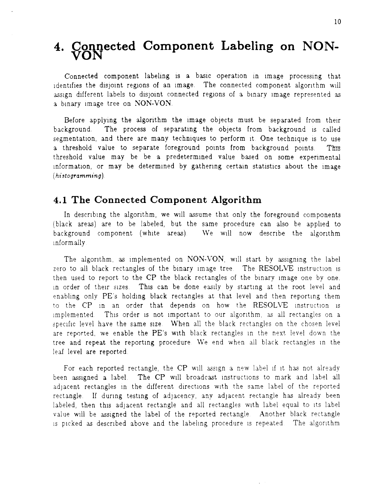## **4. Connected Component Labeling on NON-** $\check{\text{VON}}$

Connected component labeling is a basic operation in image processing that identifies the disjoint regions of an image. The connected component algorithm will assign different labels to disjoint connected regions of a binary image represented as a binary image tree on NON-VON.

Before applying the algorithm the image objects must be separated from their background. The process of separating the objects from background is called segmentation, and there are many techniques to perform it. One technique is to use a threshold value to separate foreground points from background points. This threshold value may be be a predetermined value based on some experimental information, or may be determined by gathering certain statistics about the image *(hi.stogramming).* 

## **4.1 The Connected Component Algorithm**

In describing the algorithm, we will assume that only the foreground components (black areas) are to be labeled, but the same procedure can also be applied to background component (white areas). We will now describe the algorithm Informally

The algorithm, as implemented on NON-VON, will start by assigning the label zero to all black rectangles of the binary image tree. The RESOLVE instruction is then used to report to the CP the black rectangles of the binary image one by one. in order of their sizes. This can be done easily by starting at the root level and enabling only PE's holding black rectangles at that level and then reporting them to the CP in an order that depends on how the RESOLVE instruction is implemented. This order is not important to our algorithm, as all rectangles on a specific level have the same size. When all the black rectangles on the chosen level are reported, we enable the PE's With black rectangles In the next level down the tree and repeat the reporting procedure. We end when all black rectangles in the leaf level are reported

For each reported rectangle, the CP will assign a new label if it has not already been assigned a label. The CP will broadcast instructions to mark and label all adjacent rectangles in the different directions with the same label of the reported rectangle. If during testing of adjacency, any adjacent rectangle has already been labeled, then this adjacent rectangle and all rectangles with label equal to its label value will be assigned the label of the reported rectangle. Another black rectangle IS picked as deSCribed above and the labeltng procedure IS repeated The algOrithm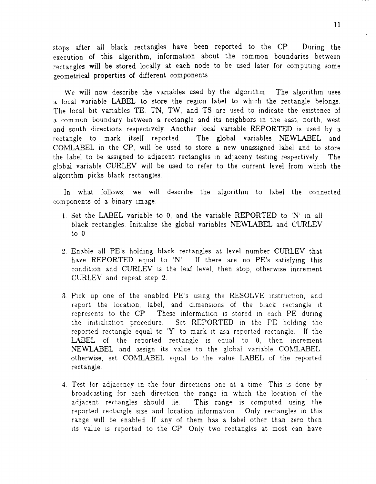stops after all black rectangles have been reported to the CP. During the execution of this algorithm, information about the common boundanes between rectangles will be stored locally at each node to be used later for computing some geometrical properties of different components

We will now describe the variables used by the algorithm. The algorithm uses a local vanable LABEL to store the region label to which the rectangle belongs. The local bit variables TE, TN, TW, and TS are used to indicate the existence of a common boundary between a rectangle and its neighbors in the east, north, west and south directions respectively. Another local variable REPORTED is used by a rectangle to mark Itself reported. The global variables NEWLABEL and COMLABEL in the CP, will be used to store a new unassigned label and to store the label to be assigned to adjacent rectangles in adjaceny testing respectively. The global vanable CURLEV wIll be used to refer to the current level from which the algorithm picks black rectangles.

In what follows, we will describe the algorithm to label the connected components of a binary image:

- 1 Set the LABEL variable to 0, and the variable REPORTED to 'N' In all black rectangles. Initialize the global variables NEWLABEL and CURLEV to 0
- 2 Enable all PE's holding black rectangles at level number CURLEV that have REPORTED equal to  $'N'$ . If there are no PE's satisfying this condition and CURLEV is the leaf level, then stop, otherwise increment CURLEV and repeat step 2.
- 3. Pick up one of the enabled PE's using the RESOLVE instruction, and report the location, label, and dimensions of the black rectangle it represents to the  $\mathbb{CP}$ . These information is stored in each  $\mathbb{PE}$  during the initializtion procedure. Set REPORTED in the PE holding the reported rectangle equal to 'Y' to mark it as reported rectangle. If the LABEL of the reported rectangle is equal to 0, then increment NEWLABEL and assign its value to the global variable COMLABEL; otherwise, set COMLABEL equal to the value LABEL of the reported rectangle.
- 4. Test for adjacency in the four directions one at a time. This is done by broadcasting for each direction the range in which the location of the adjacent rectangles should lie. This range is computed using the reported rectangle size and location information. Only rectangles in this range WIll be enabled. If any of them has a label other than zero then its value is reported to the CP. Only two rectangles at most can have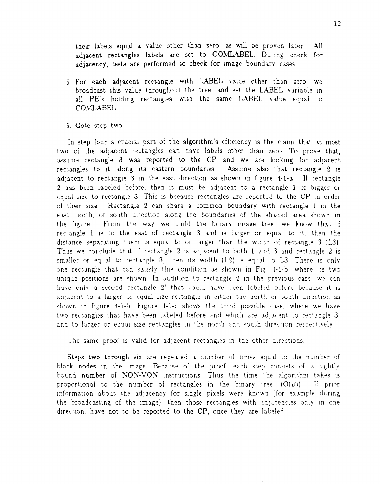their labels equal a value other than zero, as wIll be proven later. All adjacent rectangles labels are set to COMLABEL. During check for adjacency, tests are performed to check for Image boundary cases.

- 5. For each adjacent rectangle wIth LABEL value other than zero, we broadcast this value throughout the tree, and set the LABEL variable in all PE's holding rectangles with the same LABEL value equal to COMLABEL
- 6 Goto step two

In step four a crucial part of the algorithm's efficiency is the claim that at most two of the adjacent rectangles can have labels other than zero. To prove that, assume rectangle 3 was reported to the CP and we are looking for adjacent rectangles to it along its eastern boundaries. Assume also that rectangle 2 is adjacent to rectangle  $3$  in the east direction as shown in figure  $4-1-a$ . If rectangle 2 has been labeled before, then it must be adjacent to a rectangle 1 of bigger or equal size to rectangle 3. This is because rectangles are reported to the CP in order of their size Rectangle 2 can share a common boundary WIth rectangle 1 10 the east, north, or south direction along the boundaries of the shaded area shown in the figure. From the way we build the binary image tree, we know that if rectangle 1 is to the east of rectangle 3 and is larger or equal to it. then the distance separating them is equal to or larger than the width of rectangle  $3$  (L3). Thus we conclude that if rectangle 2 is adjacent to both 1 and 3 and rectangle 2 is smaller or equal to rectangle 3, then its width  $(L2)$  is equal to L3. There is only one rectangle that can satisfy this condition as shown in Fig. 4-1-b, where its two unique positions are shown. In addition to rectangle 2 in the previous case, we can have only a second rectangle 2' that could have been labeled before because it is adjacent to a larger or equal size rectangle in either the north or south direction as shown in figure 4-1-b. Figure 4-1-c shows the third possible case, where we have two rectangles that have been labeled before and which are adjacent to rectangle 3. and to larger or equal size rectangles in the north and south direction respectively

The same proof is valid for adjacent rectangles in the other directions.

Steps two through six are repeated a number of times equal to the number of black nodes in the image. Because of the proof, each step consists of a tightly bound number of NON-VON instructions. Thus the time the algorithm takes is proportional to the number of rectangles in the binary tree.  $(O(B))$ . If prior information about the adjacency for single pixels were known (for example during the broadcasting of the image), then those rectangles with adjacencies only in one direction, have not to be reported to the CP, once they are labeled.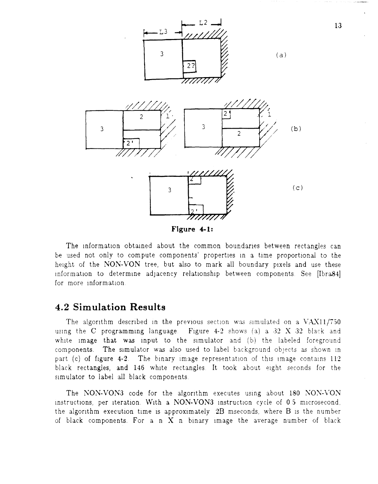

The information obtained about the common boundaries between rectangles can be used not only to compute components' properties in a time proportional to the height of the NON-VON tree, but also to mark all boundary pixels and use these information to determine adjacency relationship between components. See [Ibra84] for more information.

## **4.2 Simulation Results**

The algorithm described in the previous section was simulated on a  $VAX11/750$ using the C programming language. Figure 4-2 shows (a) a 32 X 32 black and white image that was input to the simulator and (b) the labeled foreground components. The sImulator was also used to label background objects as shown In part (c) of figure  $4-2$ . The binary image representation of this image contains 112 black rectangles, and 146 white rectangles. It took about eight seconds for the simulator to label all black components.

The NON-VON3 code for the algorithm executes using about 180 NON-VON instructions, per iteration. With a NON-VON3 instruction cycle of 0.5 microsecond, the algorithm execution time is approximately  $2B$  mseconds, where  $B$  is the number of black components. For a n  $X$  n binary image the average number of black

13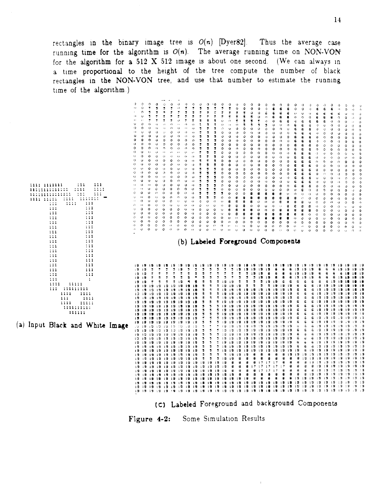rectangles in the binary image tree is  $O(n)$  [Dyer82]. Thus the running time for the algorithm is  $O(n)$ . The average running time on NON-VON for the algorithm for a 512 X 512 image is about one second. (We can always in Thus the average case a time proportional to the height of the tree compute the number of black rectangles in the NON-VON tree, and use that number to estimate the running time of the algorithm.)



(C') Labeled Foreground and background Components

Figure 4-2: Some Simulation Results

14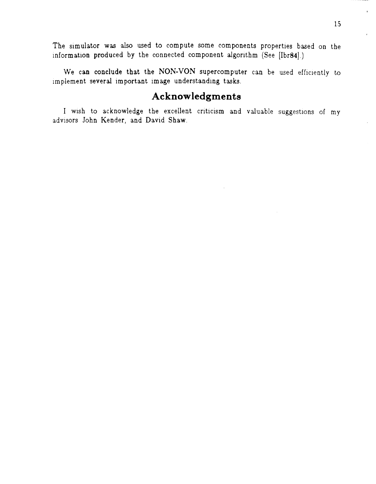The simulator was also used to compute some components properties based on the information produced by the connected component algorithm (See [Ibr84].)

We can conclude that the NON-VON supercomputer can be used efficiently to implement several important image understanding tasks.

## **Acknow ledgments**

I wish to acknowledge the excellent criticism and valuable suggestions of my advisors John Kender, and David Shaw.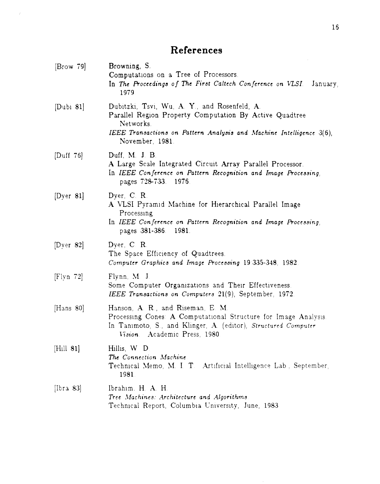# **References**

 $\mathcal{L}^{\mathcal{L}}$ 

| [Brown 79]        | Browning, S.<br>Computations on a Tree of Processors.<br>In The Proceedings of The First Caltech Conference on VLSI.<br>January,<br>1979.                                                                       |
|-------------------|-----------------------------------------------------------------------------------------------------------------------------------------------------------------------------------------------------------------|
| $[{\rm Dubi 81}]$ | Dubitzki, Tsvi, Wu, A. Y., and Rosenfeld, A.<br>Parallel Region Property Computation By Active Quadtree<br>Networks.<br>IEEE Transactions on Pattern Analysis and Machine Intelligence 3(6),<br>November, 1981. |
| [Duff $76$ ]      | Duff, M. J. B.<br>A Large Scale Integrated Circuit Array Parallel Processor.<br>In IEEE Conference on Pattern Recognition and Image Processing<br>pages 728-733. 1976.                                          |
| [Dyer 81]         | Dyer, C. R.<br>A VLSI Pyramid Machine for Hierarchical Parallel Image<br>Processing<br>In IEEE Conference on Pattern Recognition and Image Processing,<br>pages 381-386<br>1981.                                |
| [Dyer 82]         | Dyer, C.R.<br>The Space Efficiency of Quadtrees.<br>Computer Graphics and Image Processing 19:335-348, 1982.                                                                                                    |
| [Flyn 72]         | Flynn, M. J.<br>Some Computer Organizations and Their Effectiveness.<br>IEEE Transactions on Computers 21(9), September, 1972.                                                                                  |
| [Hans $80$ ]      | Hanson, A. R., and Riseman, E. M.<br>Processing Cones: A Computational Structure for Image Analysis.<br>In Tanimoto, S., and Klinger, A. (editor), Structured Computer<br>Vision. Academic Press, 1980          |
| [Hill 81]         | Hillis, W D<br>The Connection Machine<br>Technical Memo, M. I. T. Artificial Intelligence Lab., September,<br>1981.                                                                                             |
| [Ibra 83]         | Ibrahim, H. A. H.<br>Tree Machines: Architecture and Algorithms<br>Technical Report, Columbia University, June, 1983                                                                                            |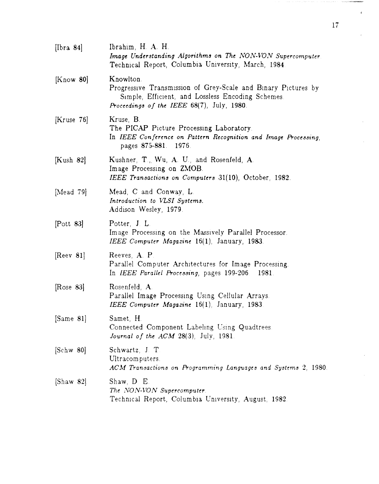| [ $[\text{bra } 84]$ ] | Ibrahim, H. A. H.<br>Image Understanding Algorithms on The NON-VON Supercomputer.<br>Technical Report, Columbia University, March, 1984.                                      |
|------------------------|-------------------------------------------------------------------------------------------------------------------------------------------------------------------------------|
| [Know 80]              | Knowlton.<br>Progressive Transmission of Grey-Scale and Binary Pictures by<br>Simple, Efficient, and Lossless Encoding Schemes.<br>Proceedings of the IEEE 68(7), July, 1980. |
| [Kruse 76]             | Kruse, B.<br>The PICAP Picture Processing Laboratory<br>In IEEE Conference on Pattern Recognition and Image Processing,<br>pages 875-881. 1976.                               |
| [Kush 82]              | Kushner, T., Wu, A. U., and Rosenfeld, A.<br>Image Processing on ZMOB.<br>IEEE Transactions on Computers 31(10), October, 1982.                                               |
| [Mead $79$ ]           | Mead, C and Conway, L.<br>Introduction to VLSI Systems.<br>Addison Wesley, 1979.                                                                                              |
| $[$ Pott 83 $]$        | Potter, J. L.<br>Image Processing on the Massively Parallel Processor.<br>IEEE Computer Magazine 16(1), January, 1983.                                                        |
| [Reev 81]              | Reeves, A. P.<br>Parallel Computer Architectures for Image Processing.<br>In IEEE Parallel Processing, pages 199-206.<br>1981.                                                |
| [Rose $83$ ]           | Rosenfeld, A.<br>Parallel Image Processing Using Cellular Arrays.<br>IEEE Computer Magazine 16(1), January, 1983.                                                             |
| [Same 81]              | Samet, H.<br>Connected Component Labeling Using Quadtrees.<br>Journal of the $ACM$ 28(3), July, 1981.                                                                         |
| [Schw 80]              | Schwartz, J. T.<br>Ultracomputers.<br>ACM Transactions on Programming Languages and Systems 2, 1980.                                                                          |
| [Shaw 82]              | Shaw, D. E.<br>The NON-VON Supercomputer.<br>Technical Report, Columbia University, August, 1982.                                                                             |

ł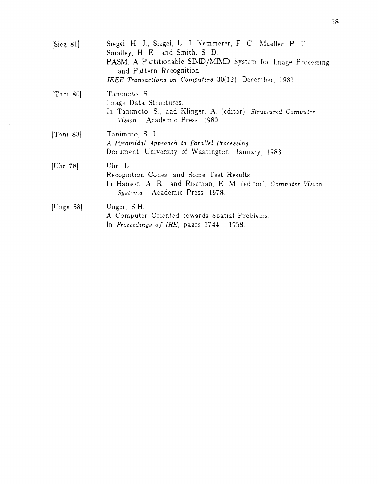| [Sieg 81]     | Siegel, H. J., Siegel, L. J., Kemmerer, F. C., Mueller, P. T.,<br>Smalley, H. E., and Smith, S. D.<br>PASM: A Partitionable SIMD/MIMD System for Image Processing<br>and Pattern Recognition.<br>IEEE Transactions on Computers $30(12)$ , December, 1981. |
|---------------|------------------------------------------------------------------------------------------------------------------------------------------------------------------------------------------------------------------------------------------------------------|
| [Tan 80]      | Tanimoto <sub>S</sub> .<br>Image Data Structures.<br>In Tanimoto, S., and Klinger, A. (editor), Structured Computer<br>Vision. Academic Press, 1980.                                                                                                       |
| [Tan 83]      | Tanimoto, S. L.<br>A Pyramidal Approach to Parallel Processing<br>Document, University of Washington, January, 1983.                                                                                                                                       |
| [ $Chr$ 78]   | $U$ hr $L$ .<br>Recognition Cones, and Some Test Results.<br>In Hanson, A. R., and Riseman, E. M. (editor), Computer Vision<br>Systems Academic Press, 1978.                                                                                               |
| [ $C$ nge 58] | Unger, S.H.<br>A Computer Oriented towards Spatial Problems.<br>In Proceedings of IRE, pages 1744. 1958.                                                                                                                                                   |

 $\bar{\gamma}$ 

 $\bar{\bar{z}}$ 

 $\bar{\beta}$ 

 $\bar{\beta}$